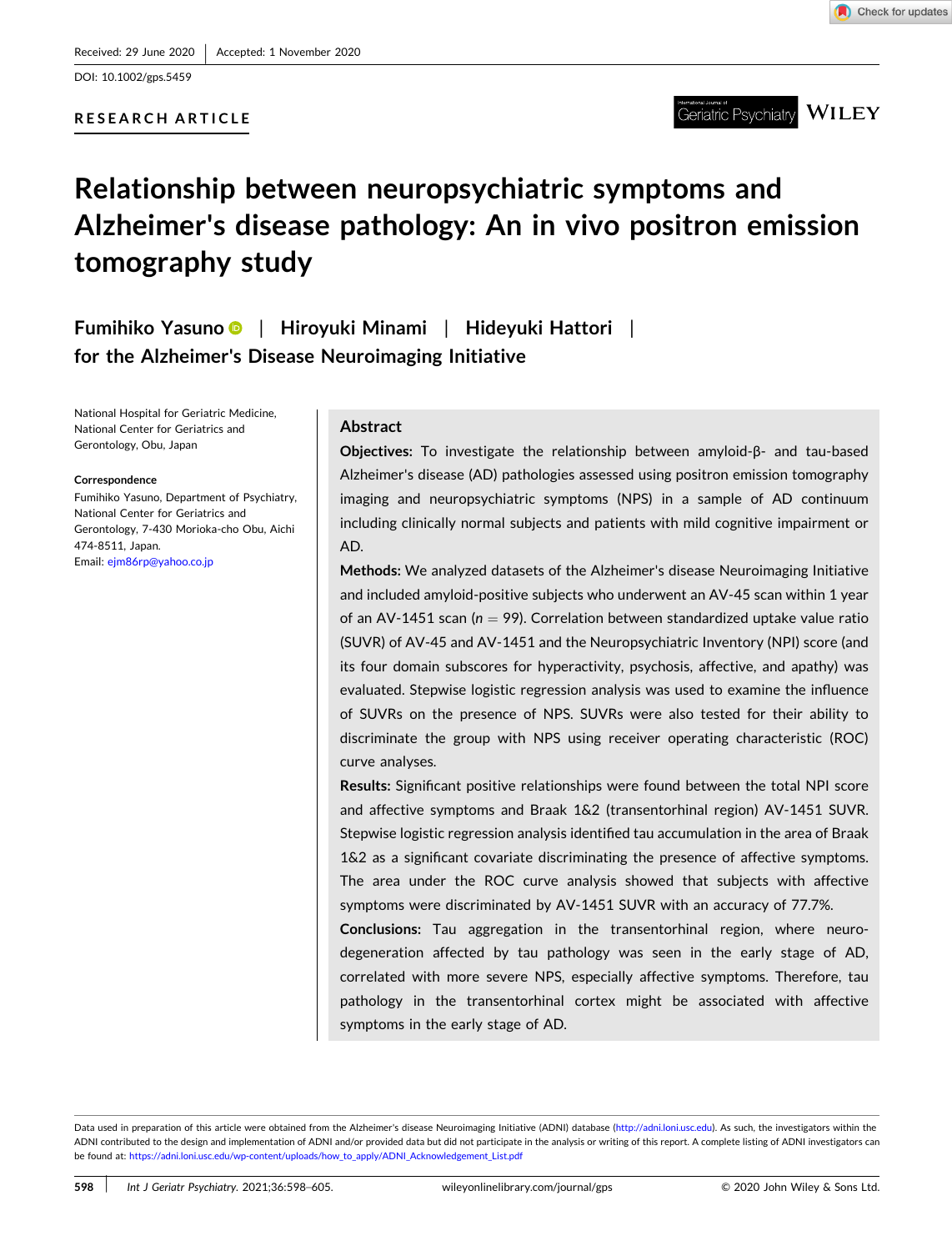DOI: [10.1002/gps.5459](https://doi.org/10.1002/gps.5459)

## **RESEARCH ARTICLE**



**WILEY** eriatric Psvchiatrv

# **Relationship between neuropsychiatric symptoms and Alzheimer's disease pathology: An in vivo positron emission tomography study**

**Fumihiko Yasuno** | **Hiroyuki Minami** | **Hideyuki Hattori** | **for the Alzheimer's Disease Neuroimaging Initiative**

National Hospital for Geriatric Medicine, National Center for Geriatrics and Gerontology, Obu, Japan

#### **Correspondence**

Fumihiko Yasuno, Department of Psychiatry, National Center for Geriatrics and Gerontology, 7‐430 Morioka‐cho Obu, Aichi 474‐8511, Japan. Email: [ejm86rp@yahoo.co.jp](mailto:ejm86rp@yahoo.co.jp)

## **Abstract**

**Objectives:** To investigate the relationship between amyloid‐β‐ and tau‐based Alzheimer's disease (AD) pathologies assessed using positron emission tomography imaging and neuropsychiatric symptoms (NPS) in a sample of AD continuum including clinically normal subjects and patients with mild cognitive impairment or AD.

**Methods:** We analyzed datasets of the Alzheimer's disease Neuroimaging Initiative and included amyloid-positive subjects who underwent an AV-45 scan within 1 year of an AV-1451 scan ( $n = 99$ ). Correlation between standardized uptake value ratio (SUVR) of AV‐45 and AV‐1451 and the Neuropsychiatric Inventory (NPI) score (and its four domain subscores for hyperactivity, psychosis, affective, and apathy) was evaluated. Stepwise logistic regression analysis was used to examine the influence of SUVRs on the presence of NPS. SUVRs were also tested for their ability to discriminate the group with NPS using receiver operating characteristic (ROC) curve analyses.

**Results:** Significant positive relationships were found between the total NPI score and affective symptoms and Braak 1&2 (transentorhinal region) AV‐1451 SUVR. Stepwise logistic regression analysis identified tau accumulation in the area of Braak 1&2 as a significant covariate discriminating the presence of affective symptoms. The area under the ROC curve analysis showed that subjects with affective symptoms were discriminated by AV-1451 SUVR with an accuracy of 77.7%.

**Conclusions:** Tau aggregation in the transentorhinal region, where neurodegeneration affected by tau pathology was seen in the early stage of AD, correlated with more severe NPS, especially affective symptoms. Therefore, tau pathology in the transentorhinal cortex might be associated with affective symptoms in the early stage of AD.

Data used in preparation of this article were obtained from the Alzheimer's disease Neuroimaging Initiative (ADNI) database [\(http://adni.loni.usc.edu\)](http://adni.loni.usc.edu). As such, the investigators within the ADNI contributed to the design and implementation of ADNI and/or provided data but did not participate in the analysis or writing of this report. A complete listing of ADNI investigators can be found at: [https://adni.loni.usc.edu/wp-content/uploads/how\\_to\\_apply/ADNI\\_Acknowledgement\\_List.pdf](https://adni.loni.usc.edu/wp-content/uploads/how_to_apply/ADNI_Acknowledgement_List.pdf)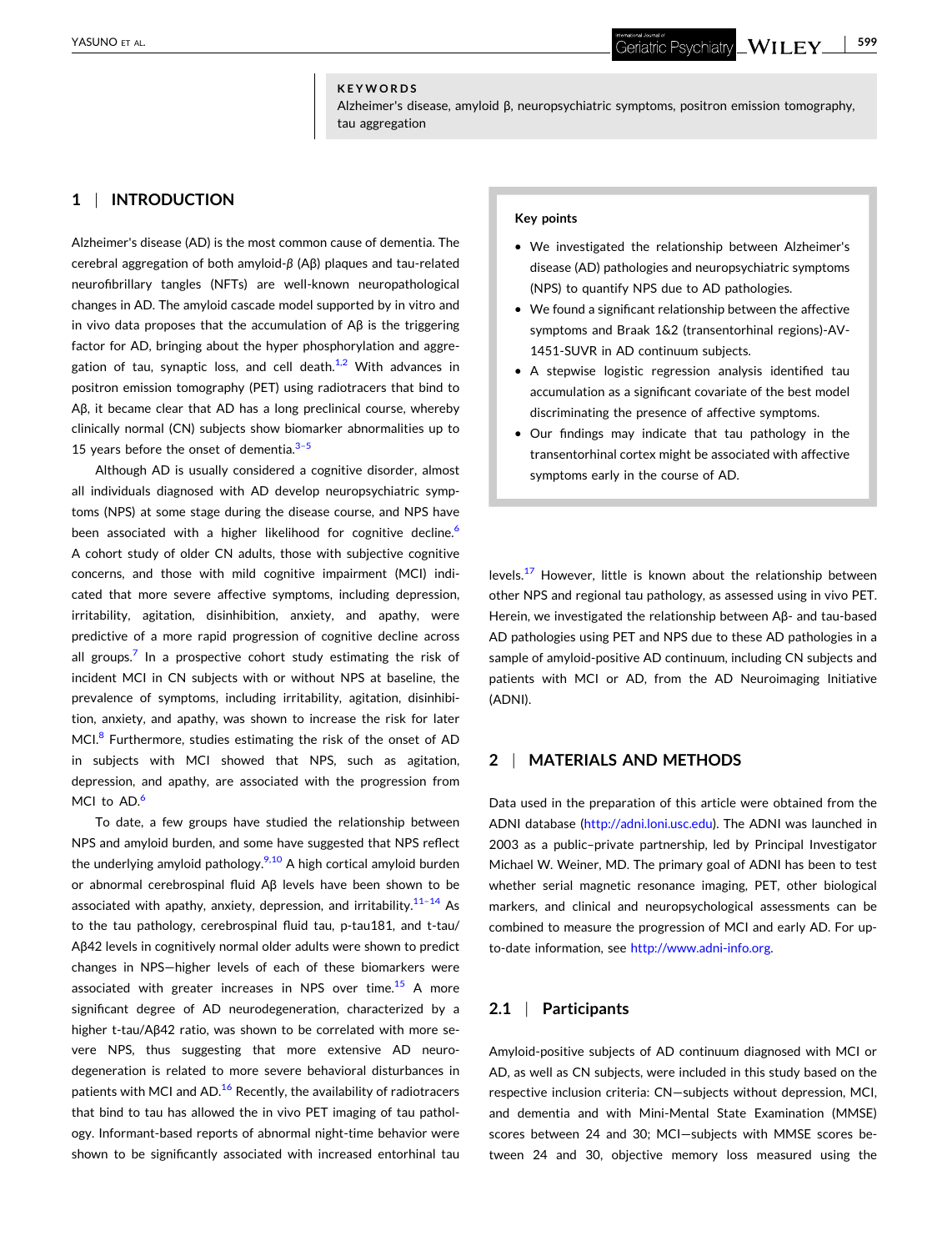## **KEYWORDS**

Alzheimer's disease, amyloid β, neuropsychiatric symptoms, positron emission tomography, tau aggregation

## **1** <sup>|</sup> **INTRODUCTION**

Alzheimer's disease (AD) is the most common cause of dementia. The cerebral aggregation of both amyloid‐*β* (Aβ) plaques and tau‐related neurofibrillary tangles (NFTs) are well-known neuropathological changes in AD. The amyloid cascade model supported by in vitro and in vivo data proposes that the accumulation of  $\mathsf{A}\beta$  is the triggering factor for AD, bringing about the hyper phosphorylation and aggregation of tau, synaptic loss, and cell death. $1/2$  With advances in positron emission tomography (PET) using radiotracers that bind to Aβ, it became clear that AD has a long preclinical course, whereby clinically normal (CN) subjects show biomarker abnormalities up to 15 years before the onset of dementia. $3-5$ 

Although AD is usually considered a cognitive disorder, almost all individuals diagnosed with AD develop neuropsychiatric symptoms (NPS) at some stage during the disease course, and NPS have been associated with a higher likelihood for cognitive decline.<sup>6</sup> A cohort study of older CN adults, those with subjective cognitive concerns, and those with mild cognitive impairment (MCI) indicated that more severe affective symptoms, including depression, irritability, agitation, disinhibition, anxiety, and apathy, were predictive of a more rapid progression of cognitive decline across all groups.<sup>[7](#page-7-0)</sup> In a prospective cohort study estimating the risk of incident MCI in CN subjects with or without NPS at baseline, the prevalence of symptoms, including irritability, agitation, disinhibition, anxiety, and apathy, was shown to increase the risk for later MCI.<sup>[8](#page-7-0)</sup> Furthermore, studies estimating the risk of the onset of AD in subjects with MCI showed that NPS, such as agitation, depression, and apathy, are associated with the progression from MCI to AD.<sup>[6](#page-7-0)</sup>

To date, a few groups have studied the relationship between NPS and amyloid burden, and some have suggested that NPS reflect the underlying amyloid pathology. $9,10$  A high cortical amyloid burden or abnormal cerebrospinal fluid Aβ levels have been shown to be associated with apathy, anxiety, depression, and irritability. $11-14$  As to the tau pathology, cerebrospinal fluid tau, p‐tau181, and t‐tau/ Aβ42 levels in cognitively normal older adults were shown to predict changes in NPS—higher levels of each of these biomarkers were associated with greater increases in NPS over time.<sup>[15](#page-7-0)</sup> A more significant degree of AD neurodegeneration, characterized by a higher t-tau/Aβ42 ratio, was shown to be correlated with more severe NPS, thus suggesting that more extensive AD neurodegeneration is related to more severe behavioral disturbances in patients with MCI and AD.<sup>16</sup> Recently, the availability of radiotracers that bind to tau has allowed the in vivo PET imaging of tau pathology. Informant‐based reports of abnormal night‐time behavior were shown to be significantly associated with increased entorhinal tau

#### **Key points**

- � We investigated the relationship between Alzheimer's disease (AD) pathologies and neuropsychiatric symptoms (NPS) to quantify NPS due to AD pathologies.
- � We found a significant relationship between the affective symptoms and Braak 1&2 (transentorhinal regions)‐AV‐ 1451-SUVR in AD continuum subjects.
- � A stepwise logistic regression analysis identified tau accumulation as a significant covariate of the best model discriminating the presence of affective symptoms.
- � Our findings may indicate that tau pathology in the transentorhinal cortex might be associated with affective symptoms early in the course of AD.

levels. $17$  However, little is known about the relationship between other NPS and regional tau pathology, as assessed using in vivo PET. Herein, we investigated the relationship between Aβ‐ and tau‐based AD pathologies using PET and NPS due to these AD pathologies in a sample of amyloid‐positive AD continuum, including CN subjects and patients with MCI or AD, from the AD Neuroimaging Initiative (ADNI).

#### **2** <sup>|</sup> **MATERIALS AND METHODS**

Data used in the preparation of this article were obtained from the ADNI database [\(http://adni.loni.usc.edu\)](http://adni.loni.usc.edu). The ADNI was launched in 2003 as a public–private partnership, led by Principal Investigator Michael W. Weiner, MD. The primary goal of ADNI has been to test whether serial magnetic resonance imaging, PET, other biological markers, and clinical and neuropsychological assessments can be combined to measure the progression of MCI and early AD. For up‐ to-date information, see <http://www.adni-info.org>.

## **2.1** <sup>|</sup> **Participants**

Amyloid‐positive subjects of AD continuum diagnosed with MCI or AD, as well as CN subjects, were included in this study based on the respective inclusion criteria: CN—subjects without depression, MCI, and dementia and with Mini‐Mental State Examination (MMSE) scores between 24 and 30; MCI—subjects with MMSE scores between 24 and 30, objective memory loss measured using the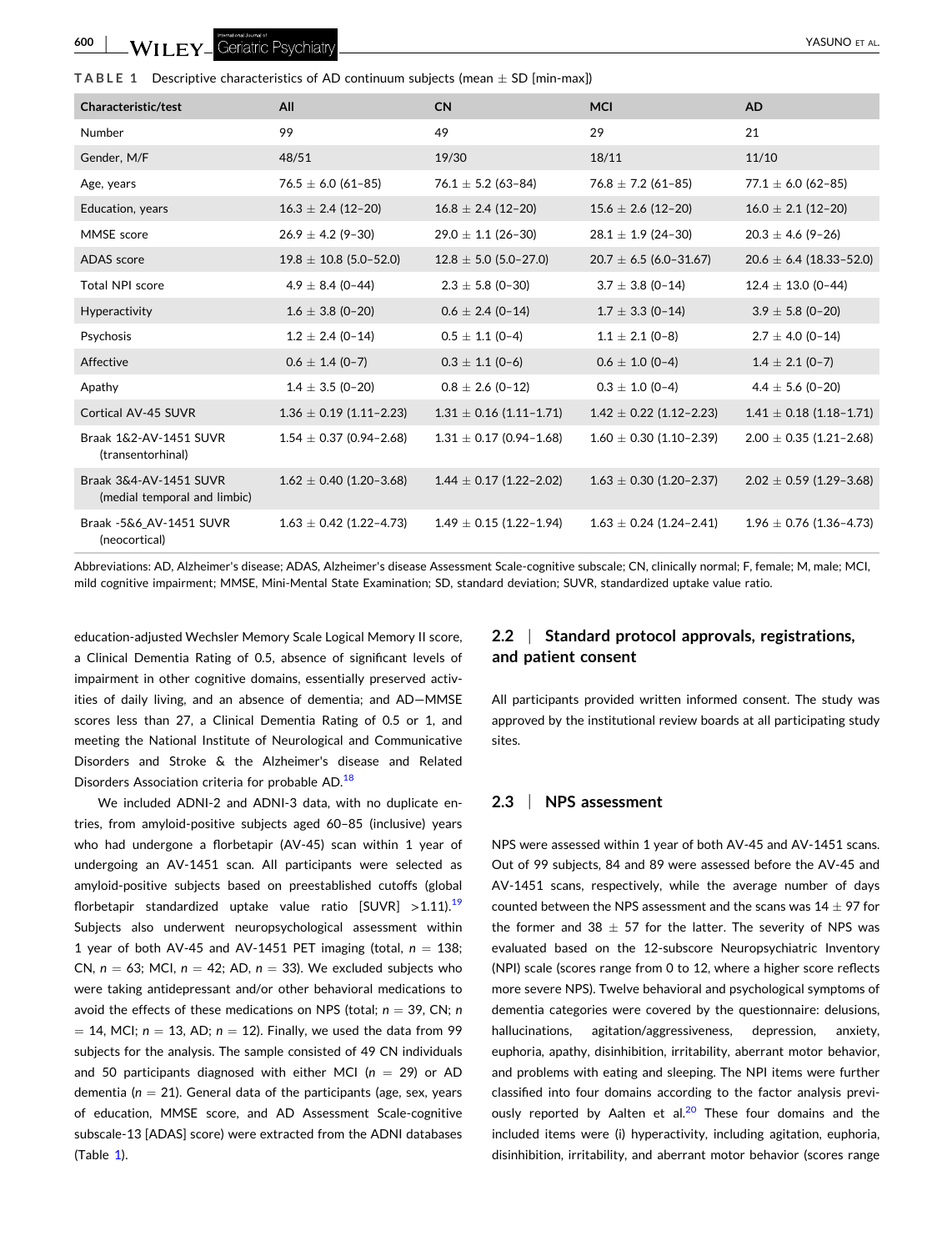| Characteristic/test                                    | All                         | <b>CN</b>                   | <b>MCI</b>                  | <b>AD</b>                   |
|--------------------------------------------------------|-----------------------------|-----------------------------|-----------------------------|-----------------------------|
| Number                                                 | 99                          | 49                          | 29                          | 21                          |
| Gender, M/F                                            | 48/51                       | 19/30                       | 18/11                       | 11/10                       |
| Age, years                                             | $76.5 \pm 6.0$ (61-85)      | $76.1 \pm 5.2$ (63-84)      | $76.8 \pm 7.2$ (61-85)      | $77.1 \pm 6.0$ (62-85)      |
| Education, years                                       | $16.3 \pm 2.4$ (12-20)      | $16.8 \pm 2.4$ (12-20)      | $15.6 \pm 2.6$ (12-20)      | $16.0 \pm 2.1$ (12-20)      |
| MMSE score                                             | $26.9 \pm 4.2$ (9-30)       | $29.0 \pm 1.1$ (26-30)      | $28.1 \pm 1.9$ (24-30)      | $20.3 \pm 4.6$ (9-26)       |
| ADAS score                                             | $19.8 \pm 10.8$ (5.0-52.0)  | $12.8 \pm 5.0$ (5.0-27.0)   | $20.7 \pm 6.5$ (6.0-31.67)  | $20.6 \pm 6.4$ (18.33-52.0) |
| Total NPI score                                        | $4.9 \pm 8.4$ (0-44)        | $2.3 \pm 5.8$ (0-30)        | $3.7 \pm 3.8$ (0-14)        | $12.4 \pm 13.0$ (0-44)      |
| Hyperactivity                                          | $1.6 \pm 3.8$ (0-20)        | $0.6 \pm 2.4$ (0-14)        | $1.7 \pm 3.3$ (0-14)        | $3.9 \pm 5.8$ (0-20)        |
| Psychosis                                              | $1.2 \pm 2.4$ (0-14)        | $0.5 \pm 1.1$ (0-4)         | $1.1 \pm 2.1$ (0-8)         | $2.7 \pm 4.0$ (0-14)        |
| Affective                                              | $0.6 \pm 1.4$ (0-7)         | $0.3 \pm 1.1$ (0-6)         | $0.6 \pm 1.0$ (0-4)         | $1.4 \pm 2.1$ (0-7)         |
| Apathy                                                 | $1.4 \pm 3.5$ (0-20)        | $0.8 \pm 2.6$ (0-12)        | $0.3 \pm 1.0$ (0-4)         | $4.4 \pm 5.6$ (0-20)        |
| Cortical AV-45 SUVR                                    | $1.36 \pm 0.19$ (1.11-2.23) | $1.31 \pm 0.16$ (1.11-1.71) | $1.42 \pm 0.22$ (1.12-2.23) | $1.41 \pm 0.18$ (1.18-1.71) |
| Braak 1&2-AV-1451 SUVR<br>(transentorhinal)            | $1.54 \pm 0.37$ (0.94-2.68) | $1.31 \pm 0.17$ (0.94-1.68) | $1.60 \pm 0.30$ (1.10-2.39) | $2.00 \pm 0.35$ (1.21-2.68) |
| Braak 3&4-AV-1451 SUVR<br>(medial temporal and limbic) | $1.62 \pm 0.40$ (1.20-3.68) | $1.44 \pm 0.17$ (1.22-2.02) | $1.63 \pm 0.30$ (1.20-2.37) | $2.02 \pm 0.59$ (1.29-3.68) |
| Braak -5&6 AV-1451 SUVR<br>(neocortical)               | $1.63 \pm 0.42$ (1.22-4.73) | $1.49 \pm 0.15$ (1.22-1.94) | $1.63 \pm 0.24$ (1.24-2.41) | $1.96 \pm 0.76$ (1.36-4.73) |

Abbreviations: AD, Alzheimer's disease; ADAS, Alzheimer's disease Assessment Scale‐cognitive subscale; CN, clinically normal; F, female; M, male; MCI, mild cognitive impairment; MMSE, Mini‐Mental State Examination; SD, standard deviation; SUVR, standardized uptake value ratio.

education‐adjusted Wechsler Memory Scale Logical Memory II score, a Clinical Dementia Rating of 0.5, absence of significant levels of impairment in other cognitive domains, essentially preserved activities of daily living, and an absence of dementia; and AD—MMSE scores less than 27, a Clinical Dementia Rating of 0.5 or 1, and meeting the National Institute of Neurological and Communicative Disorders and Stroke & the Alzheimer's disease and Related Disorders Association criteria for probable AD.<sup>[18](#page-7-0)</sup>

We included ADNI‐2 and ADNI‐3 data, with no duplicate entries, from amyloid‐positive subjects aged 60–85 (inclusive) years who had undergone a florbetapir (AV-45) scan within 1 year of undergoing an AV‐1451 scan. All participants were selected as amyloid‐positive subjects based on preestablished cutoffs (global florbetapir standardized uptake value ratio  $[SUVR] > 1.11$ .<sup>[19](#page-7-0)</sup> Subjects also underwent neuropsychological assessment within 1 year of both AV-45 and AV-1451 PET imaging (total,  $n = 138$ ; CN,  $n = 63$ ; MCI,  $n = 42$ ; AD,  $n = 33$ ). We excluded subjects who were taking antidepressant and/or other behavioral medications to avoid the effects of these medications on NPS (total;  $n = 39$ , CN;  $n$  $=$  14, MCI;  $n = 13$ , AD;  $n = 12$ ). Finally, we used the data from 99 subjects for the analysis. The sample consisted of 49 CN individuals and 50 participants diagnosed with either MCI ( $n = 29$ ) or AD dementia ( $n = 21$ ). General data of the participants (age, sex, years of education, MMSE score, and AD Assessment Scale‐cognitive subscale‐13 [ADAS] score) were extracted from the ADNI databases (Table 1).

## **2.2** <sup>|</sup> **Standard protocol approvals, registrations, and patient consent**

All participants provided written informed consent. The study was approved by the institutional review boards at all participating study sites.

## **2.3** <sup>|</sup> **NPS assessment**

NPS were assessed within 1 year of both AV‐45 and AV‐1451 scans. Out of 99 subjects, 84 and 89 were assessed before the AV‐45 and AV‐1451 scans, respectively, while the average number of days counted between the NPS assessment and the scans was  $14 \pm 97$  for the former and 38  $\pm$  57 for the latter. The severity of NPS was evaluated based on the 12‐subscore Neuropsychiatric Inventory (NPI) scale (scores range from 0 to 12, where a higher score reflects more severe NPS). Twelve behavioral and psychological symptoms of dementia categories were covered by the questionnaire: delusions, hallucinations, agitation/aggressiveness, depression, anxiety, euphoria, apathy, disinhibition, irritability, aberrant motor behavior, and problems with eating and sleeping. The NPI items were further classified into four domains according to the factor analysis previously reported by Aalten et al. $20$  These four domains and the included items were (i) hyperactivity, including agitation, euphoria, disinhibition, irritability, and aberrant motor behavior (scores range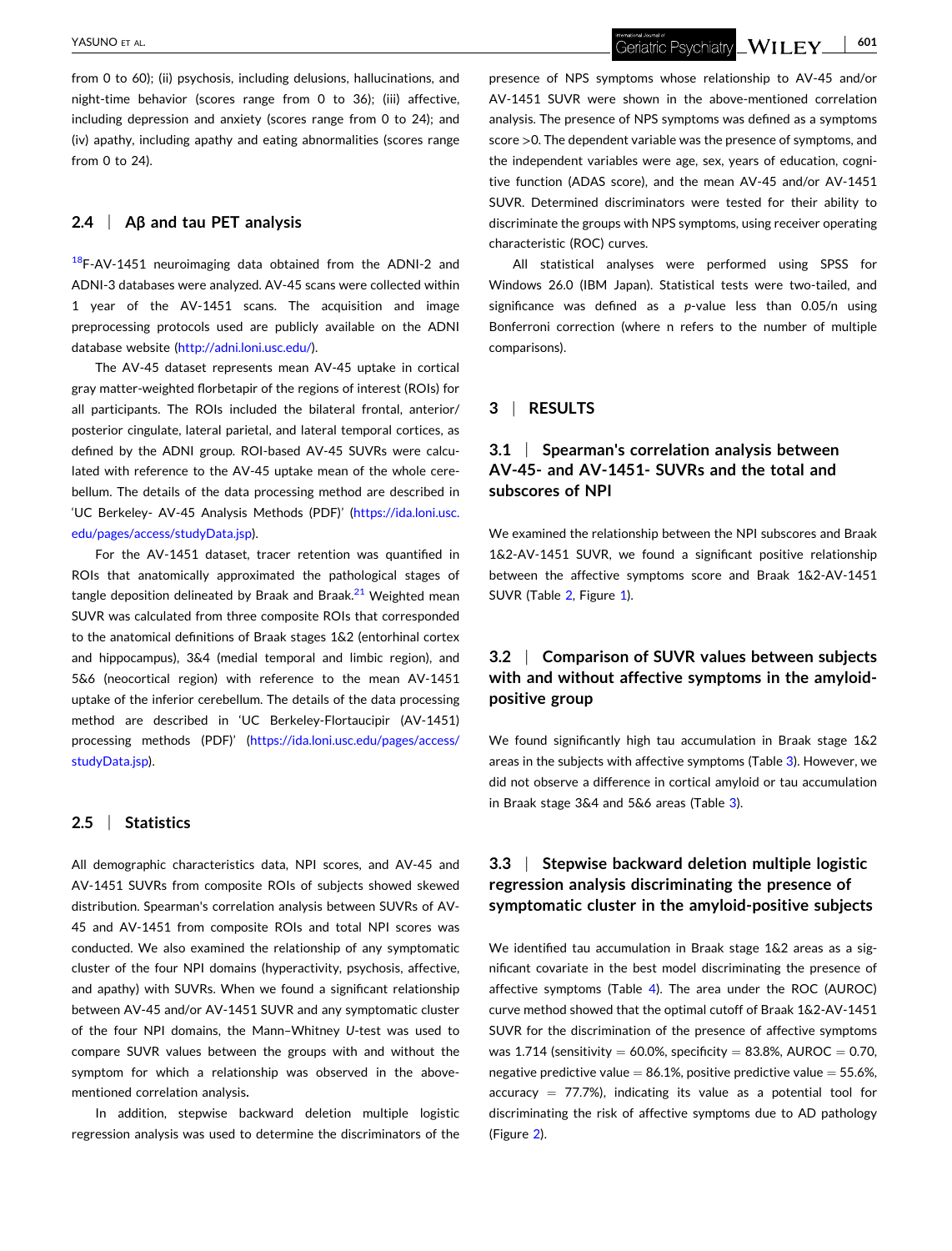from 0 to 60); (ii) psychosis, including delusions, hallucinations, and night‐time behavior (scores range from 0 to 36); (iii) affective, including depression and anxiety (scores range from 0 to 24); and (iv) apathy, including apathy and eating abnormalities (scores range from 0 to 24).

#### **2.4** <sup>|</sup> **Aβ and tau PET analysis**

 $18$ F-AV-1451 neuroimaging data obtained from the ADNI-2 and ADNI‐3 databases were analyzed. AV‐45 scans were collected within 1 year of the AV‐1451 scans. The acquisition and image preprocessing protocols used are publicly available on the ADNI database website [\(http://adni.loni.usc.edu/\)](http://adni.loni.usc.edu).

The AV‐45 dataset represents mean AV‐45 uptake in cortical gray matter‐weighted florbetapir of the regions of interest (ROIs) for all participants. The ROIs included the bilateral frontal, anterior/ posterior cingulate, lateral parietal, and lateral temporal cortices, as defined by the ADNI group. ROI‐based AV‐45 SUVRs were calculated with reference to the AV‐45 uptake mean of the whole cerebellum. The details of the data processing method are described in 'UC Berkeley‐ AV‐45 Analysis Methods (PDF)' [\(https://ida.loni.usc.](https://ida.loni.usc.edu/pages/access/studyData.jsp) [edu/pages/access/studyData.jsp\)](https://ida.loni.usc.edu/pages/access/studyData.jsp).

For the AV‐1451 dataset, tracer retention was quantified in ROIs that anatomically approximated the pathological stages of tangle deposition delineated by Braak and Braak. $^{21}$  $^{21}$  $^{21}$  Weighted mean SUVR was calculated from three composite ROIs that corresponded to the anatomical definitions of Braak stages 1&2 (entorhinal cortex and hippocampus), 3&4 (medial temporal and limbic region), and 5&6 (neocortical region) with reference to the mean AV‐1451 uptake of the inferior cerebellum. The details of the data processing method are described in 'UC Berkeley‐Flortaucipir (AV‐1451) processing methods (PDF)' ([https://ida.loni.usc.edu/pages/access/](https://ida.loni.usc.edu/pages/access/studyData.jsp) [studyData.jsp\)](https://ida.loni.usc.edu/pages/access/studyData.jsp).

#### **2.5** <sup>|</sup> **Statistics**

All demographic characteristics data, NPI scores, and AV‐45 and AV‐1451 SUVRs from composite ROIs of subjects showed skewed distribution. Spearman's correlation analysis between SUVRs of AV‐ 45 and AV‐1451 from composite ROIs and total NPI scores was conducted. We also examined the relationship of any symptomatic cluster of the four NPI domains (hyperactivity, psychosis, affective, and apathy) with SUVRs. When we found a significant relationship between AV‐45 and/or AV‐1451 SUVR and any symptomatic cluster of the four NPI domains, the Mann-Whitney U-test was used to compare SUVR values between the groups with and without the symptom for which a relationship was observed in the above‐ mentioned correlation analysis**.**

In addition, stepwise backward deletion multiple logistic regression analysis was used to determine the discriminators of the Geriatric Psychiatry  $\llcorner \mathbf{W}$  **I**  $\mathbf{LEY} \llcorner$ 

presence of NPS symptoms whose relationship to AV‐45 and/or AV‐1451 SUVR were shown in the above‐mentioned correlation analysis. The presence of NPS symptoms was defined as a symptoms score >0. The dependent variable was the presence of symptoms, and the independent variables were age, sex, years of education, cognitive function (ADAS score), and the mean AV‐45 and/or AV‐1451 SUVR. Determined discriminators were tested for their ability to discriminate the groups with NPS symptoms, using receiver operating characteristic (ROC) curves.

All statistical analyses were performed using SPSS for Windows 26.0 (IBM Japan). Statistical tests were two-tailed, and significance was defined as a *p*-value less than 0.05/n using Bonferroni correction (where n refers to the number of multiple comparisons).

## **3** <sup>|</sup> **RESULTS**

# **3.1** <sup>|</sup> **Spearman's correlation analysis between AV‐45‐ and AV‐1451‐ SUVRs and the total and subscores of NPI**

We examined the relationship between the NPI subscores and Braak 1&2‐AV‐1451 SUVR, we found a significant positive relationship between the affective symptoms score and Braak 1&2‐AV‐1451 SUVR (Table [2](#page-4-0), Figure [1](#page-4-0)).

# **3.2** <sup>|</sup> **Comparison of SUVR values between subjects with and without affective symptoms in the amyloid‐ positive group**

We found significantly high tau accumulation in Braak stage 1&2 areas in the subjects with affective symptoms (Table [3](#page-5-0)). However, we did not observe a difference in cortical amyloid or tau accumulation in Braak stage 3&4 and 5&6 areas (Table [3\)](#page-5-0).

# **3.3** <sup>|</sup> **Stepwise backward deletion multiple logistic regression analysis discriminating the presence of symptomatic cluster in the amyloid‐positive subjects**

We identified tau accumulation in Braak stage 1&2 areas as a significant covariate in the best model discriminating the presence of affective symptoms (Table [4\)](#page-5-0). The area under the ROC (AUROC) curve method showed that the optimal cutoff of Braak 1&2‐AV‐1451 SUVR for the discrimination of the presence of affective symptoms was 1.714 (sensitivity  $= 60.0\%$ , specificity  $= 83.8\%$ , AUROC  $= 0.70$ , negative predictive value  $= 86.1\%$ , positive predictive value  $= 55.6\%$ , accuracy  $= 77.7\%$ ), indicating its value as a potential tool for discriminating the risk of affective symptoms due to AD pathology (Figure [2](#page-6-0)).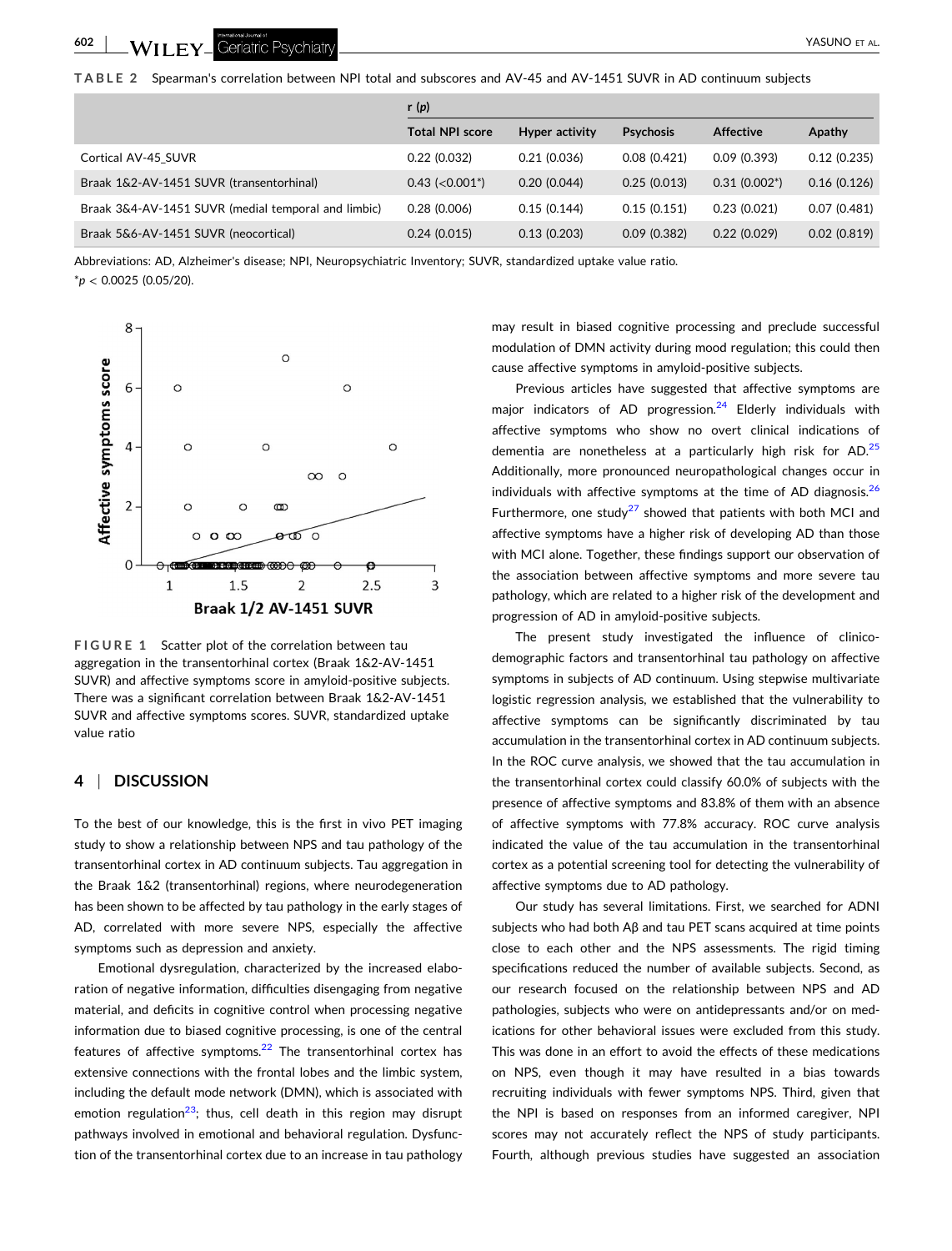- YASUNO ET AL.

<span id="page-4-0"></span>**TABLE 2** Spearman's correlation between NPI total and subscores and AV‐45 and AV‐1451 SUVR in AD continuum subjects

|                                                     | r $(p)$                          |                       |                  |                  |             |
|-----------------------------------------------------|----------------------------------|-----------------------|------------------|------------------|-------------|
|                                                     | <b>Total NPI score</b>           | <b>Hyper activity</b> | <b>Psychosis</b> | <b>Affective</b> | Apathy      |
| Cortical AV-45 SUVR                                 | 0.22(0.032)                      | 0.21(0.036)           | 0.08(0.421)      | 0.09(0.393)      | 0.12(0.235) |
| Braak 1&2-AV-1451 SUVR (transentorhinal)            | $0.43$ (< $0.001$ <sup>*</sup> ) | 0.20(0.044)           | 0.25(0.013)      | $0.31(0.002^*)$  | 0.16(0.126) |
| Braak 3&4-AV-1451 SUVR (medial temporal and limbic) | 0.28(0.006)                      | 0.15(0.144)           | 0.15(0.151)      | 0.23(0.021)      | 0.07(0.481) |
| Braak 5&6-AV-1451 SUVR (neocortical)                | 0.24(0.015)                      | 0.13(0.203)           | 0.09(0.382)      | 0.22(0.029)      | 0.02(0.819) |

Abbreviations: AD, Alzheimer's disease; NPI, Neuropsychiatric Inventory; SUVR, standardized uptake value ratio. \**p* < 0.0025 (0.05/20).



**FIGURE 1** Scatter plot of the correlation between tau aggregation in the transentorhinal cortex (Braak 1&2‐AV‐1451 SUVR) and affective symptoms score in amyloid‐positive subjects. There was a significant correlation between Braak 1&2‐AV‐1451 SUVR and affective symptoms scores. SUVR, standardized uptake value ratio

## **4** <sup>|</sup> **DISCUSSION**

To the best of our knowledge, this is the first in vivo PET imaging study to show a relationship between NPS and tau pathology of the transentorhinal cortex in AD continuum subjects. Tau aggregation in the Braak 1&2 (transentorhinal) regions, where neurodegeneration has been shown to be affected by tau pathology in the early stages of AD, correlated with more severe NPS, especially the affective symptoms such as depression and anxiety.

Emotional dysregulation, characterized by the increased elaboration of negative information, difficulties disengaging from negative material, and deficits in cognitive control when processing negative information due to biased cognitive processing, is one of the central features of affective symptoms. $22$  The transentorhinal cortex has extensive connections with the frontal lobes and the limbic system, including the default mode network (DMN), which is associated with emotion regulation<sup>23</sup>; thus, cell death in this region may disrupt pathways involved in emotional and behavioral regulation. Dysfunction of the transentorhinal cortex due to an increase in tau pathology may result in biased cognitive processing and preclude successful modulation of DMN activity during mood regulation; this could then cause affective symptoms in amyloid‐positive subjects.

Previous articles have suggested that affective symptoms are major indicators of AD progression. $24$  Elderly individuals with affective symptoms who show no overt clinical indications of dementia are nonetheless at a particularly high risk for AD.<sup>[25](#page-7-0)</sup> Additionally, more pronounced neuropathological changes occur in individuals with affective symptoms at the time of AD diagnosis. $26$ Furthermore, one study<sup>27</sup> showed that patients with both MCI and affective symptoms have a higher risk of developing AD than those with MCI alone. Together, these findings support our observation of the association between affective symptoms and more severe tau pathology, which are related to a higher risk of the development and progression of AD in amyloid‐positive subjects.

The present study investigated the influence of clinicodemographic factors and transentorhinal tau pathology on affective symptoms in subjects of AD continuum. Using stepwise multivariate logistic regression analysis, we established that the vulnerability to affective symptoms can be significantly discriminated by tau accumulation in the transentorhinal cortex in AD continuum subjects. In the ROC curve analysis, we showed that the tau accumulation in the transentorhinal cortex could classify 60.0% of subjects with the presence of affective symptoms and 83.8% of them with an absence of affective symptoms with 77.8% accuracy. ROC curve analysis indicated the value of the tau accumulation in the transentorhinal cortex as a potential screening tool for detecting the vulnerability of affective symptoms due to AD pathology.

Our study has several limitations. First, we searched for ADNI subjects who had both Aβ and tau PET scans acquired at time points close to each other and the NPS assessments. The rigid timing specifications reduced the number of available subjects. Second, as our research focused on the relationship between NPS and AD pathologies, subjects who were on antidepressants and/or on medications for other behavioral issues were excluded from this study. This was done in an effort to avoid the effects of these medications on NPS, even though it may have resulted in a bias towards recruiting individuals with fewer symptoms NPS. Third, given that the NPI is based on responses from an informed caregiver, NPI scores may not accurately reflect the NPS of study participants. Fourth, although previous studies have suggested an association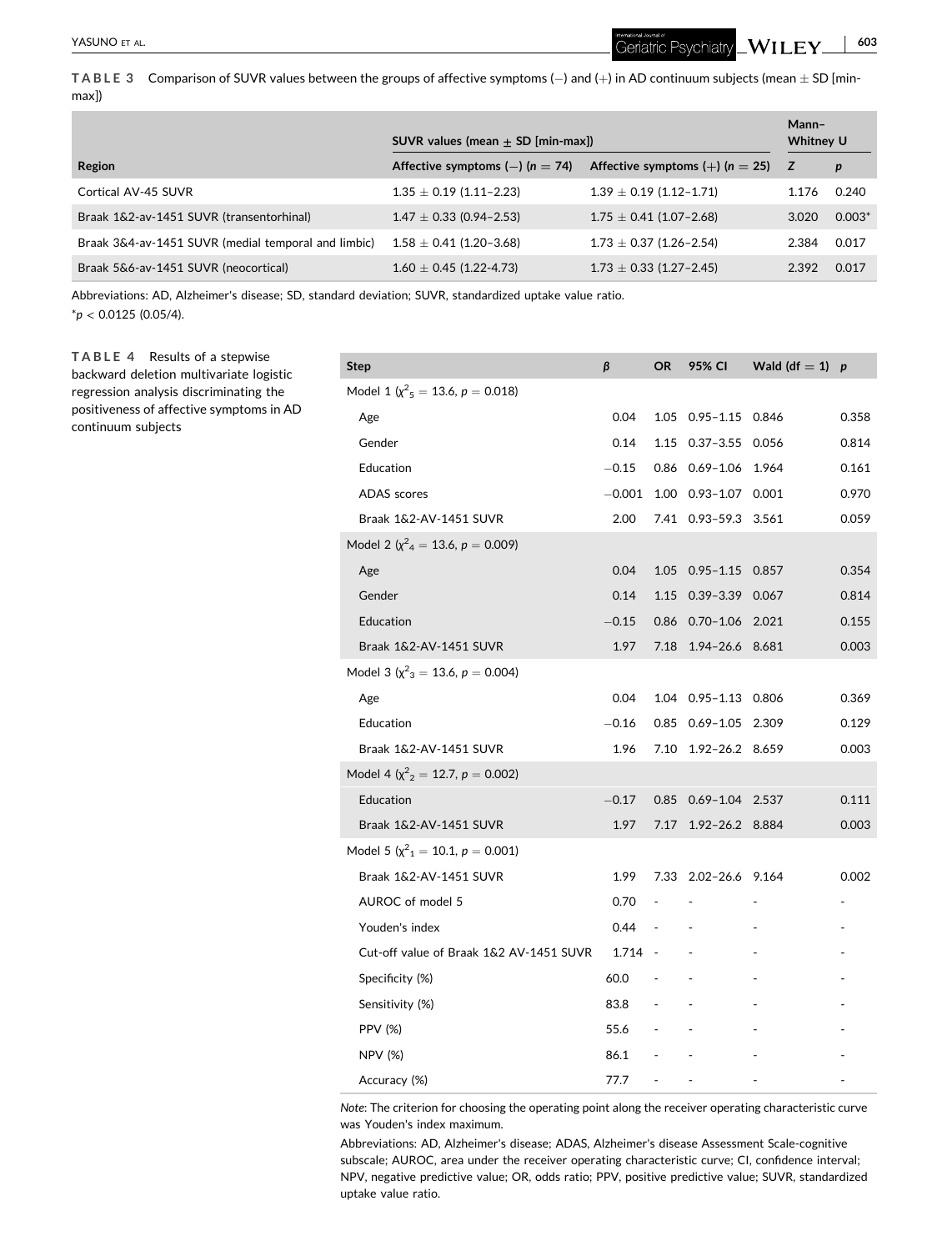Geriatric Psychiatry  $\llcorner \mathbf{W}$  **I**  $\mathbf{L}\mathbf{E}\mathbf{Y}\llcorner$ 

<span id="page-5-0"></span>**TABLE** 3 Comparison of SUVR values between the groups of affective symptoms  $(-)$  and  $(+)$  in AD continuum subjects (mean  $\pm$  SD [minmax])

|                                                     | $SUVR$ values (mean $+$ SD [min-max]) |                                     | Mann-<br>Whitney U |                  |
|-----------------------------------------------------|---------------------------------------|-------------------------------------|--------------------|------------------|
| Region                                              | Affective symptoms $(-)$ (n = 74)     | Affective symptoms $(+)$ (n = 25) Z |                    | $\boldsymbol{p}$ |
| Cortical AV-45 SUVR                                 | $1.35 \pm 0.19$ (1.11-2.23)           | $1.39 \pm 0.19$ (1.12-1.71)         | 1.176              | 0.240            |
| Braak 1&2-av-1451 SUVR (transentorhinal)            | $1.47 \pm 0.33$ (0.94-2.53)           | $1.75 \pm 0.41$ (1.07-2.68)         | 3.020              | $0.003*$         |
| Braak 3&4-av-1451 SUVR (medial temporal and limbic) | $1.58 \pm 0.41$ (1.20-3.68)           | $1.73 \pm 0.37$ (1.26-2.54)         | 2.384              | 0.017            |
| Braak 5&6-av-1451 SUVR (neocortical)                | $1.60 \pm 0.45$ (1.22-4.73)           | $1.73 \pm 0.33$ (1.27-2.45)         | 2.392              | 0.017            |

Abbreviations: AD, Alzheimer's disease; SD, standard deviation; SUVR, standardized uptake value ratio. \**p* < 0.0125 (0.05/4).

**TABLE 4** Results of a stepwise backward deletion multivariate logistic regression analysis discriminating the positiveness of affective symptoms in AD continuum subjects

| Step                                                 | β        | OR                                | 95% CI                 | Wald (df = 1) $p$ |       |
|------------------------------------------------------|----------|-----------------------------------|------------------------|-------------------|-------|
| Model 1 ( $\chi^2$ <sub>5</sub> = 13.6, $p$ = 0.018) |          |                                   |                        |                   |       |
| Age                                                  | 0.04     | 1.05                              | 0.95-1.15 0.846        |                   | 0.358 |
| Gender                                               | 0.14     |                                   | 1.15  0.37-3.55  0.056 |                   | 0.814 |
| Education                                            | $-0.15$  |                                   | 0.86 0.69-1.06 1.964   |                   | 0.161 |
| <b>ADAS</b> scores                                   | $-0.001$ |                                   | 1.00  0.93-1.07  0.001 |                   | 0.970 |
| Braak 1&2-AV-1451 SUVR                               | 2.00     |                                   | 7.41 0.93-59.3 3.561   |                   | 0.059 |
| Model 2 ( $\chi^2$ <sub>4</sub> = 13.6, p = 0.009)   |          |                                   |                        |                   |       |
| Age                                                  | 0.04     | 1.05                              | $0.95 - 1.15$ 0.857    |                   | 0.354 |
| Gender                                               | 0.14     |                                   | 1.15 0.39-3.39 0.067   |                   | 0.814 |
| Education                                            | $-0.15$  |                                   | 0.86 0.70-1.06 2.021   |                   | 0.155 |
| Braak 1&2-AV-1451 SUVR                               | 1.97     |                                   | 7.18 1.94-26.6 8.681   |                   | 0.003 |
| Model 3 ( $\chi^2$ <sub>3</sub> = 13.6, p = 0.004)   |          |                                   |                        |                   |       |
| Age                                                  | 0.04     |                                   | 1.04  0.95-1.13  0.806 |                   | 0.369 |
| Education                                            | $-0.16$  |                                   | 0.85  0.69-1.05  2.309 |                   | 0.129 |
| Braak 1&2-AV-1451 SUVR                               | 1.96     | 7.10                              | 1.92-26.2 8.659        |                   | 0.003 |
| Model 4 ( $\chi^2$ <sub>2</sub> = 12.7, p = 0.002)   |          |                                   |                        |                   |       |
| Education                                            | $-0.17$  | 0.85                              | 0.69-1.04 2.537        |                   | 0.111 |
| Braak 1&2-AV-1451 SUVR                               | 1.97     | 7.17                              | 1.92-26.2 8.884        |                   | 0.003 |
| Model 5 ( $\chi^2$ <sub>1</sub> = 10.1, p = 0.001)   |          |                                   |                        |                   |       |
| Braak 1&2-AV-1451 SUVR                               | 1.99     |                                   | 7.33 2.02-26.6 9.164   |                   | 0.002 |
| AUROC of model 5                                     | 0.70     |                                   |                        |                   |       |
| Youden's index                                       | 0.44     | $\sim$<br>$\sim 100$ km s $^{-1}$ |                        |                   |       |
| Cut-off value of Braak 1&2 AV-1451 SUVR              | 1.714 -  |                                   |                        |                   |       |
| Specificity (%)                                      | 60.0     | $\sim 10^{-10}$                   |                        |                   |       |
| Sensitivity (%)                                      | 83.8 -   |                                   |                        |                   |       |
| <b>PPV (%)</b>                                       | 55.6     | $\sim 100$                        |                        |                   |       |
| <b>NPV (%)</b>                                       | 86.1     | <b>Contractor</b>                 |                        |                   |       |
| Accuracy (%)                                         | 77.7     | $\overline{\phantom{a}}$          |                        |                   |       |

*Note*: The criterion for choosing the operating point along the receiver operating characteristic curve was Youden's index maximum.

Abbreviations: AD, Alzheimer's disease; ADAS, Alzheimer's disease Assessment Scale‐cognitive subscale; AUROC, area under the receiver operating characteristic curve; CI, confidence interval; NPV, negative predictive value; OR, odds ratio; PPV, positive predictive value; SUVR, standardized uptake value ratio.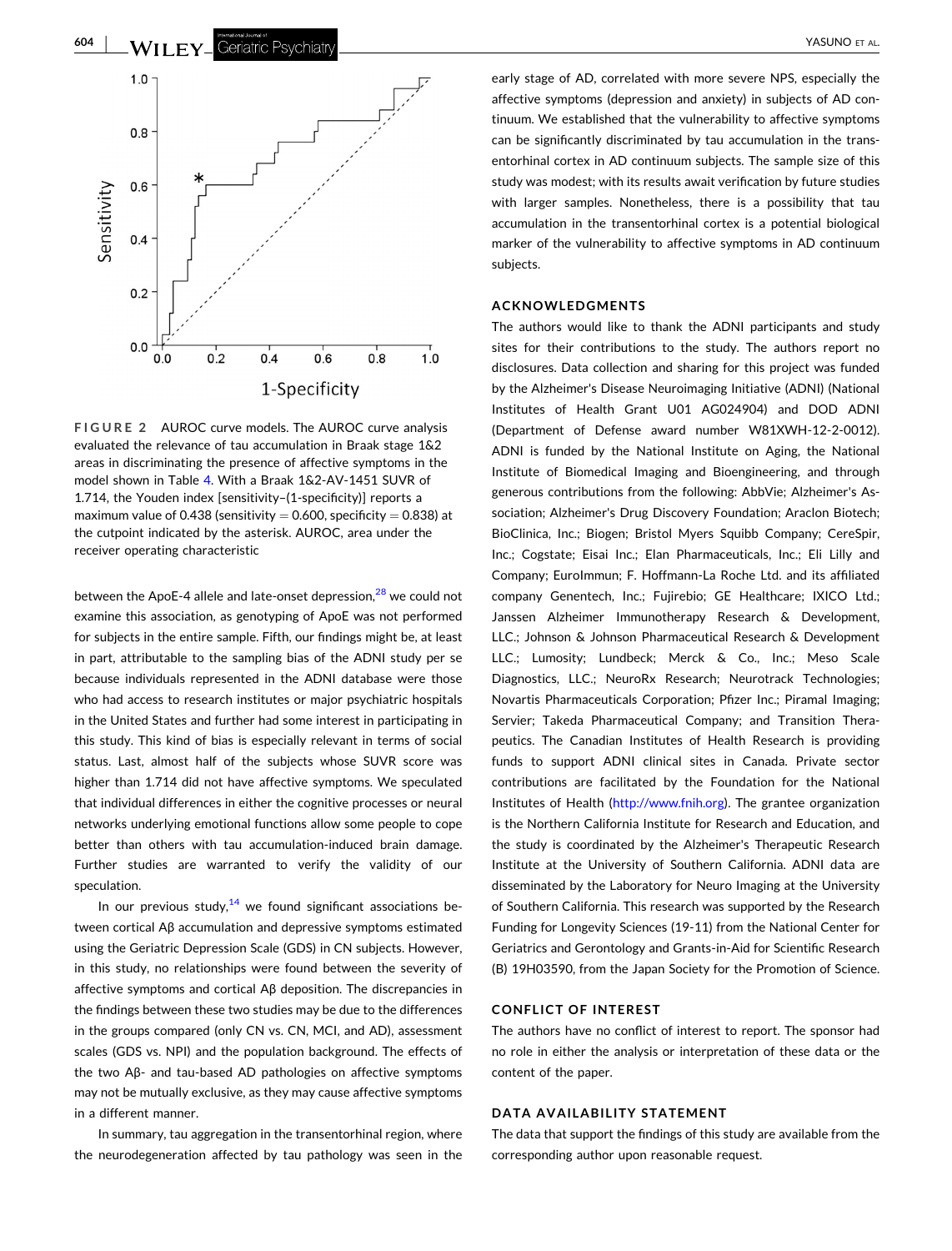<span id="page-6-0"></span>

**FIGURE 2** AUROC curve models. The AUROC curve analysis evaluated the relevance of tau accumulation in Braak stage 1&2 areas in discriminating the presence of affective symptoms in the model shown in Table [4](#page-5-0). With a Braak 1&2‐AV‐1451 SUVR of 1.714, the Youden index [sensitivity–(1‐specificity)] reports a maximum value of 0.438 (sensitivity  $= 0.600$ , specificity  $= 0.838$ ) at the cutpoint indicated by the asterisk. AUROC, area under the receiver operating characteristic

between the ApoE-4 allele and late-onset depression,<sup>[28](#page-7-0)</sup> we could not examine this association, as genotyping of ApoE was not performed for subjects in the entire sample. Fifth, our findings might be, at least in part, attributable to the sampling bias of the ADNI study per se because individuals represented in the ADNI database were those who had access to research institutes or major psychiatric hospitals in the United States and further had some interest in participating in this study. This kind of bias is especially relevant in terms of social status. Last, almost half of the subjects whose SUVR score was higher than 1.714 did not have affective symptoms. We speculated that individual differences in either the cognitive processes or neural networks underlying emotional functions allow some people to cope better than others with tau accumulation-induced brain damage. Further studies are warranted to verify the validity of our speculation.

In our previous study, $14$  we found significant associations between cortical Aβ accumulation and depressive symptoms estimated using the Geriatric Depression Scale (GDS) in CN subjects. However, in this study, no relationships were found between the severity of affective symptoms and cortical Aβ deposition. The discrepancies in the findings between these two studies may be due to the differences in the groups compared (only CN vs. CN, MCI, and AD), assessment scales (GDS vs. NPI) and the population background. The effects of the two Aβ‐ and tau‐based AD pathologies on affective symptoms may not be mutually exclusive, as they may cause affective symptoms in a different manner.

In summary, tau aggregation in the transentorhinal region, where the neurodegeneration affected by tau pathology was seen in the early stage of AD, correlated with more severe NPS, especially the affective symptoms (depression and anxiety) in subjects of AD continuum. We established that the vulnerability to affective symptoms can be significantly discriminated by tau accumulation in the transentorhinal cortex in AD continuum subjects. The sample size of this study was modest; with its results await verification by future studies with larger samples. Nonetheless, there is a possibility that tau accumulation in the transentorhinal cortex is a potential biological marker of the vulnerability to affective symptoms in AD continuum subjects.

#### **ACKNOWLEDGMENTS**

The authors would like to thank the ADNI participants and study sites for their contributions to the study. The authors report no disclosures. Data collection and sharing for this project was funded by the Alzheimer's Disease Neuroimaging Initiative (ADNI) (National Institutes of Health Grant U01 AG024904) and DOD ADNI (Department of Defense award number W81XWH‐12‐2‐0012). ADNI is funded by the National Institute on Aging, the National Institute of Biomedical Imaging and Bioengineering, and through generous contributions from the following: AbbVie; Alzheimer's Association; Alzheimer's Drug Discovery Foundation; Araclon Biotech; BioClinica, Inc.; Biogen; Bristol Myers Squibb Company; CereSpir, Inc.; Cogstate; Eisai Inc.; Elan Pharmaceuticals, Inc.; Eli Lilly and Company; EuroImmun; F. Hoffmann‐La Roche Ltd. and its affiliated company Genentech, Inc.; Fujirebio; GE Healthcare; IXICO Ltd.; Janssen Alzheimer Immunotherapy Research & Development, LLC.; Johnson & Johnson Pharmaceutical Research & Development LLC.; Lumosity; Lundbeck; Merck & Co., Inc.; Meso Scale Diagnostics, LLC.; NeuroRx Research; Neurotrack Technologies; Novartis Pharmaceuticals Corporation; Pfizer Inc.; Piramal Imaging; Servier; Takeda Pharmaceutical Company; and Transition Therapeutics. The Canadian Institutes of Health Research is providing funds to support ADNI clinical sites in Canada. Private sector contributions are facilitated by the Foundation for the National Institutes of Health [\(http://www.fnih.org](http://www.fnih.org)). The grantee organization is the Northern California Institute for Research and Education, and the study is coordinated by the Alzheimer's Therapeutic Research Institute at the University of Southern California. ADNI data are disseminated by the Laboratory for Neuro Imaging at the University of Southern California. This research was supported by the Research Funding for Longevity Sciences (19‐11) from the National Center for Geriatrics and Gerontology and Grants‐in‐Aid for Scientific Research (B) 19H03590, from the Japan Society for the Promotion of Science.

#### **CONFLICT OF INTEREST**

The authors have no conflict of interest to report. The sponsor had no role in either the analysis or interpretation of these data or the content of the paper.

#### **DATA AVAILABILITY STATEMENT**

The data that support the findings of this study are available from the corresponding author upon reasonable request.